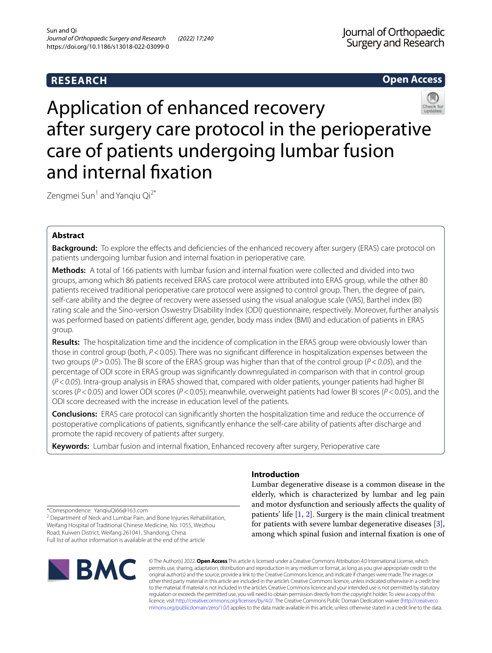# **RESEARCH**

**Open Access**



Zengmei Sun<sup>1</sup> and Yangiu Qi<sup>2\*</sup>

# **Abstract**

**Background:** To explore the effects and deficiencies of the enhanced recovery after surgery (ERAS) care protocol on patients undergoing lumbar fusion and internal fxation in perioperative care.

**Methods:** A total of 166 patients with lumbar fusion and internal fxation were collected and divided into two groups, among which 86 patients received ERAS care protocol were attributed into ERAS group, while the other 80 patients received traditional perioperative care protocol were assigned to control group. Then, the degree of pain, self-care ability and the degree of recovery were assessed using the visual analogue scale (VAS), Barthel index (BI) rating scale and the Sino-version Oswestry Disability Index (ODI) questionnaire, respectively. Moreover, further analysis was performed based on patients' diferent age, gender, body mass index (BMI) and education of patients in ERAS group.

**Results:** The hospitalization time and the incidence of complication in the ERAS group were obviously lower than those in control group (both, *P*<0.05). There was no signifcant diference in hospitalization expenses between the two groups (*P*>0.05). The BI score of the ERAS group was higher than that of the control group (*P*<*0.05*), and the percentage of ODI score in ERAS group was signifcantly downregulated in comparison with that in control group (*P*<*0.05*). Intra-group analysis in ERAS showed that, compared with older patients, younger patients had higher BI scores (*P*<0.05) and lower ODI scores (*P*<0.05); meanwhile, overweight patients had lower BI scores (*P*<0.05), and the ODI score decreased with the increase in education level of the patients.

**Conclusions:** ERAS care protocol can signifcantly shorten the hospitalization time and reduce the occurrence of postoperative complications of patients, signifcantly enhance the self-care ability of patients after discharge and promote the rapid recovery of patients after surgery.

**Keywords:** Lumbar fusion and internal fxation, Enhanced recovery after surgery, Perioperative care

\*Correspondence: YanqiuQi66@163.com

<sup>2</sup> Department of Neck and Lumbar Pain, and Bone Injuries Rehabilitation, Weifang Hospital of Traditional Chinese Medicine, No. 1055, Weizhou Road, Kuiwen District, Weifang 261041, Shandong, China Full list of author information is available at the end of the article



# **Introduction**

Lumbar degenerative disease is a common disease in the elderly, which is characterized by lumbar and leg pain and motor dysfunction and seriously afects the quality of patients' life  $[1, 2]$  $[1, 2]$  $[1, 2]$  $[1, 2]$ . Surgery is the main clinical treatment for patients with severe lumbar degenerative diseases [\[3](#page-7-2)], among which spinal fusion and internal fxation is one of

© The Author(s) 2022. **Open Access** This article is licensed under a Creative Commons Attribution 4.0 International License, which permits use, sharing, adaptation, distribution and reproduction in any medium or format, as long as you give appropriate credit to the original author(s) and the source, provide a link to the Creative Commons licence, and indicate if changes were made. The images or other third party material in this article are included in the article's Creative Commons licence, unless indicated otherwise in a credit line to the material. If material is not included in the article's Creative Commons licence and your intended use is not permitted by statutory regulation or exceeds the permitted use, you will need to obtain permission directly from the copyright holder. To view a copy of this licence, visit [http://creativecommons.org/licenses/by/4.0/.](http://creativecommons.org/licenses/by/4.0/) The Creative Commons Public Domain Dedication waiver ([http://creativeco](http://creativecommons.org/publicdomain/zero/1.0/) [mmons.org/publicdomain/zero/1.0/](http://creativecommons.org/publicdomain/zero/1.0/)) applies to the data made available in this article, unless otherwise stated in a credit line to the data.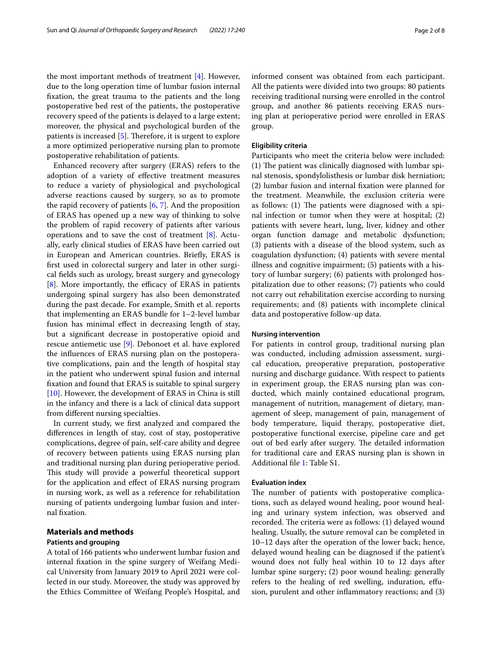the most important methods of treatment [\[4](#page-7-3)]. However, due to the long operation time of lumbar fusion internal fxation, the great trauma to the patients and the long postoperative bed rest of the patients, the postoperative recovery speed of the patients is delayed to a large extent; moreover, the physical and psychological burden of the patients is increased  $[5]$  $[5]$  $[5]$ . Therefore, it is urgent to explore a more optimized perioperative nursing plan to promote postoperative rehabilitation of patients.

Enhanced recovery after surgery (ERAS) refers to the adoption of a variety of efective treatment measures to reduce a variety of physiological and psychological adverse reactions caused by surgery, so as to promote the rapid recovery of patients [[6,](#page-7-5) [7\]](#page-7-6). And the proposition of ERAS has opened up a new way of thinking to solve the problem of rapid recovery of patients after various operations and to save the cost of treatment [[8\]](#page-7-7). Actually, early clinical studies of ERAS have been carried out in European and American countries. Briefy, ERAS is frst used in colorectal surgery and later in other surgical felds such as urology, breast surgery and gynecology  $[8]$  $[8]$ . More importantly, the efficacy of ERAS in patients undergoing spinal surgery has also been demonstrated during the past decade. For example, Smith et al. reports that implementing an ERAS bundle for 1–2-level lumbar fusion has minimal efect in decreasing length of stay, but a signifcant decrease in postoperative opioid and rescue antiemetic use [[9](#page-7-8)]. Debonoet et al. have explored the infuences of ERAS nursing plan on the postoperative complications, pain and the length of hospital stay in the patient who underwent spinal fusion and internal fxation and found that ERAS is suitable to spinal surgery [[10\]](#page-7-9). However, the development of ERAS in China is still in the infancy and there is a lack of clinical data support from diferent nursing specialties.

In current study, we frst analyzed and compared the diferences in length of stay, cost of stay, postoperative complications, degree of pain, self-care ability and degree of recovery between patients using ERAS nursing plan and traditional nursing plan during perioperative period. This study will provide a powerful theoretical support for the application and efect of ERAS nursing program in nursing work, as well as a reference for rehabilitation nursing of patients undergoing lumbar fusion and internal fxation.

# **Materials and methods**

# **Patients and grouping**

A total of 166 patients who underwent lumbar fusion and internal fxation in the spine surgery of Weifang Medical University from January 2019 to April 2021 were collected in our study. Moreover, the study was approved by the Ethics Committee of Weifang People's Hospital, and informed consent was obtained from each participant. All the patients were divided into two groups: 80 patients receiving traditional nursing were enrolled in the control group, and another 86 patients receiving ERAS nursing plan at perioperative period were enrolled in ERAS group.

## **Eligibility criteria**

Participants who meet the criteria below were included:  $(1)$  The patient was clinically diagnosed with lumbar spinal stenosis, spondylolisthesis or lumbar disk herniation; (2) lumbar fusion and internal fxation were planned for the treatment. Meanwhile, the exclusion criteria were as follows:  $(1)$  The patients were diagnosed with a spinal infection or tumor when they were at hospital; (2) patients with severe heart, lung, liver, kidney and other organ function damage and metabolic dysfunction; (3) patients with a disease of the blood system, such as coagulation dysfunction; (4) patients with severe mental illness and cognitive impairment; (5) patients with a history of lumbar surgery; (6) patients with prolonged hospitalization due to other reasons; (7) patients who could not carry out rehabilitation exercise according to nursing requirements; and (8) patients with incomplete clinical data and postoperative follow-up data.

#### **Nursing intervention**

For patients in control group, traditional nursing plan was conducted, including admission assessment, surgical education, preoperative preparation, postoperative nursing and discharge guidance. With respect to patients in experiment group, the ERAS nursing plan was conducted, which mainly contained educational program, management of nutrition, management of dietary, management of sleep, management of pain, management of body temperature, liquid therapy, postoperative diet, postoperative functional exercise, pipeline care and get out of bed early after surgery. The detailed information for traditional care and ERAS nursing plan is shown in Additional fle [1](#page-7-10): Table S1.

### **Evaluation index**

The number of patients with postoperative complications, such as delayed wound healing, poor wound healing and urinary system infection, was observed and recorded. The criteria were as follows: (1) delayed wound healing. Usually, the suture removal can be completed in 10–12 days after the operation of the lower back; hence, delayed wound healing can be diagnosed if the patient's wound does not fully heal within 10 to 12 days after lumbar spine surgery; (2) poor wound healing: generally refers to the healing of red swelling, induration, efusion, purulent and other infammatory reactions; and (3)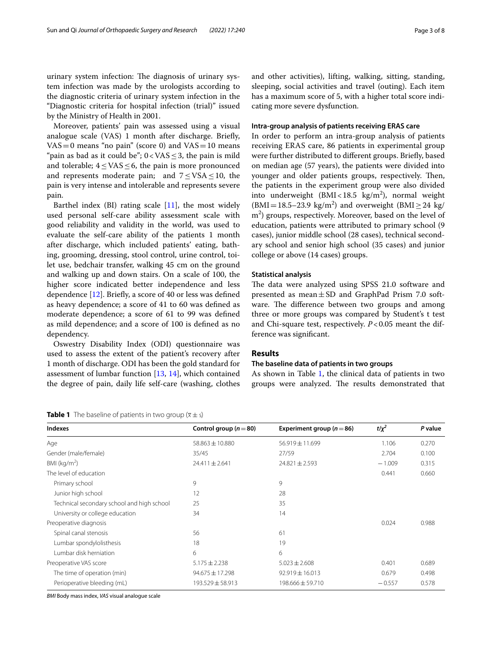urinary system infection: The diagnosis of urinary system infection was made by the urologists according to the diagnostic criteria of urinary system infection in the "Diagnostic criteria for hospital infection (trial)" issued by the Ministry of Health in 2001.

Moreover, patients' pain was assessed using a visual analogue scale (VAS) 1 month after discharge. Briefy,  $VAS = 0$  means "no pain" (score 0) and  $VAS = 10$  means "pain as bad as it could be";  $0 <$  VAS  $\leq$  3, the pain is mild and tolerable;  $4 \leq VAS \leq 6$ , the pain is more pronounced and represents moderate pain; and  $7 \leq VSA \leq 10$ , the pain is very intense and intolerable and represents severe pain.

Barthel index  $(BI)$  rating scale  $[11]$ , the most widely used personal self-care ability assessment scale with good reliability and validity in the world, was used to evaluate the self-care ability of the patients 1 month after discharge, which included patients' eating, bathing, grooming, dressing, stool control, urine control, toilet use, bedchair transfer, walking 45 cm on the ground and walking up and down stairs. On a scale of 100, the higher score indicated better independence and less dependence  $[12]$  $[12]$ . Briefly, a score of 40 or less was defined as heavy dependence; a score of 41 to 60 was defned as moderate dependence; a score of 61 to 99 was defned as mild dependence; and a score of 100 is defned as no dependency.

Oswestry Disability Index (ODI) questionnaire was used to assess the extent of the patient's recovery after 1 month of discharge. ODI has been the gold standard for assessment of lumbar function [\[13](#page-7-13), [14](#page-7-14)], which contained the degree of pain, daily life self-care (washing, clothes

## <span id="page-2-0"></span>**Table 1** The baseline of patients in two group  $(\bar{x} \pm s)$

and other activities), lifting, walking, sitting, standing, sleeping, social activities and travel (outing). Each item has a maximum score of 5, with a higher total score indicating more severe dysfunction.

### **Intra‑group analysis of patients receiving ERAS care**

In order to perform an intra-group analysis of patients receiving ERAS care, 86 patients in experimental group were further distributed to diferent groups. Briefy, based on median age (57 years), the patients were divided into younger and older patients groups, respectively. Then, the patients in the experiment group were also divided into underweight  $(BMI < 18.5 \text{ kg/m}^2)$ , normal weight  $(BMI = 18.5-23.9 \text{ kg/m}^2)$  and overweight  $(BMI \ge 24 \text{ kg/m}^2)$ m<sup>2</sup>) groups, respectively. Moreover, based on the level of education, patients were attributed to primary school (9 cases), junior middle school (28 cases), technical secondary school and senior high school (35 cases) and junior college or above (14 cases) groups.

## **Statistical analysis**

The data were analyzed using SPSS 21.0 software and presented as mean $\pm$ SD and GraphPad Prism 7.0 software. The difference between two groups and among three or more groups was compared by Student's t test and Chi-square test, respectively. *P*<0.05 meant the difference was signifcant.

### **Results**

## **The baseline data of patients in two groups**

As shown in Table [1](#page-2-0), the clinical data of patients in two groups were analyzed. The results demonstrated that

| <b>Indexes</b>                             | Control group ( $n = 80$ ) | Experiment group ( $n = 86$ ) | $t/x^2$  | P value |
|--------------------------------------------|----------------------------|-------------------------------|----------|---------|
| Age                                        | $58.863 \pm 10.880$        | 56.919 ± 11.699               | 1.106    | 0.270   |
| Gender (male/female)                       | 35/45                      | 27/59                         | 2.704    | 0.100   |
| BMI ( $kg/m2$ )                            | $24.411 \pm 2.641$         | $24.821 \pm 2.593$            | $-1.009$ | 0.315   |
| The level of education                     |                            |                               | 0.441    | 0.660   |
| Primary school                             | 9                          | 9                             |          |         |
| Junior high school                         | 12                         | 28                            |          |         |
| Technical secondary school and high school | 25                         | 35                            |          |         |
| University or college education            | 34                         | 14                            |          |         |
| Preoperative diagnosis                     |                            |                               | 0.024    | 0.988   |
| Spinal canal stenosis                      | 56                         | 61                            |          |         |
| Lumbar spondylolisthesis                   | 18                         | 19                            |          |         |
| Lumbar disk herniation                     | 6                          | 6                             |          |         |
| Preoperative VAS score                     | $5.175 \pm 2.238$          | $5.023 \pm 2.608$             | 0.401    | 0.689   |
| The time of operation (min)                | $94.675 \pm 17.298$        | $92.919 \pm 16.013$           | 0.679    | 0.498   |
| Perioperative bleeding (mL)                | 193.529 ± 58.913           | 198.666 ± 59.710              | $-0.557$ | 0.578   |
|                                            |                            |                               |          |         |

*BMI* Body mass index, *VAS* visual analogue scale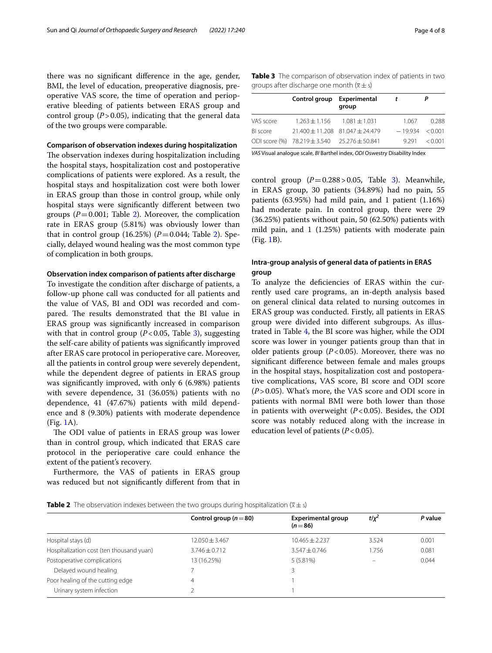there was no signifcant diference in the age, gender, BMI, the level of education, preoperative diagnosis, preoperative VAS score, the time of operation and perioperative bleeding of patients between ERAS group and control group  $(P > 0.05)$ , indicating that the general data of the two groups were comparable.

## **Comparison of observation indexes during hospitalization**

The observation indexes during hospitalization including the hospital stays, hospitalization cost and postoperative complications of patients were explored. As a result, the hospital stays and hospitalization cost were both lower in ERAS group than those in control group, while only hospital stays were signifcantly diferent between two groups  $(P=0.001;$  Table [2\)](#page-3-0). Moreover, the complication rate in ERAS group (5.81%) was obviously lower than that in control group  $(16.25%)$  $(16.25%)$  $(16.25%)$   $(P=0.044;$  Table 2). Specially, delayed wound healing was the most common type of complication in both groups.

# **Observation index comparison of patients after discharge**

To investigate the condition after discharge of patients, a follow-up phone call was conducted for all patients and the value of VAS, BI and ODI was recorded and compared. The results demonstrated that the BI value in ERAS group was signifcantly increased in comparison with that in control group  $(P<0.05$ , Table [3\)](#page-3-1), suggesting the self-care ability of patients was signifcantly improved after ERAS care protocol in perioperative care. Moreover, all the patients in control group were severely dependent, while the dependent degree of patients in ERAS group was signifcantly improved, with only 6 (6.98%) patients with severe dependence, 31 (36.05%) patients with no dependence, 41 (47.67%) patients with mild dependence and 8 (9.30%) patients with moderate dependence (Fig. [1A](#page-4-0)).

The ODI value of patients in ERAS group was lower than in control group, which indicated that ERAS care protocol in the perioperative care could enhance the extent of the patient's recovery.

Furthermore, the VAS of patients in ERAS group was reduced but not signifcantly diferent from that in <span id="page-3-1"></span>**Table 3** The comparison of observation index of patients in two groups after discharge one month  $(\bar{x} \pm s)$ 

|           | Control group Experimental                   | group | $\mathbf{t}$ | Р                   |
|-----------|----------------------------------------------|-------|--------------|---------------------|
| VAS score | $1.263 + 1.156$ $1.081 + 1.031$              |       | 1.067        | 0.288               |
| BI score  | $21.400 + 11.208$ $81.047 + 24.479$          |       |              | $-19.934 \le 0.001$ |
|           | ODI score (%) 78.219 ± 3.540 25.276 ± 50.841 |       | 9 2 9 1      | < 0.001             |

*VAS* Visual analogue scale, *BI* Barthel index, *ODI* Oswestry Disability Index

control group  $(P=0.288 > 0.05$ , Table [3](#page-3-1)). Meanwhile, in ERAS group, 30 patients (34.89%) had no pain, 55 patients (63.95%) had mild pain, and 1 patient (1.16%) had moderate pain. In control group, there were 29 (36.25%) patients without pain, 50 (62.50%) patients with mild pain, and 1 (1.25%) patients with moderate pain (Fig. [1B](#page-4-0)).

# **Intra‑group analysis of general data of patients in ERAS group**

To analyze the defciencies of ERAS within the currently used care programs, an in-depth analysis based on general clinical data related to nursing outcomes in ERAS group was conducted. Firstly, all patients in ERAS group were divided into diferent subgroups. As illustrated in Table [4](#page-5-0), the BI score was higher, while the ODI score was lower in younger patients group than that in older patients group  $(P<0.05)$ . Moreover, there was no signifcant diference between female and males groups in the hospital stays, hospitalization cost and postoperative complications, VAS score, BI score and ODI score (*P*>0.05). What's more, the VAS score and ODI score in patients with normal BMI were both lower than those in patients with overweight (*P*<0.05). Besides, the ODI score was notably reduced along with the increase in education level of patients (*P*<0.05).

<span id="page-3-0"></span>

|                                          | Control group ( $n = 80$ ) | <b>Experimental group</b><br>$(n=86)$ | $t/x^2$                  | P value |
|------------------------------------------|----------------------------|---------------------------------------|--------------------------|---------|
|                                          |                            |                                       |                          |         |
| Hospital stays (d)                       | 12.050±3.467               | $10.465 + 2.237$                      | 3.524                    | 0.001   |
| Hospitalization cost (ten thousand yuan) | $3.746 \pm 0.712$          | $3.547 \pm 0.746$                     | 1.756                    | 0.081   |
| Postoperative complications              | 13 (16.25%)                | 5(5.81%)                              | $\overline{\phantom{m}}$ | 0.044   |
| Delayed wound healing                    |                            |                                       |                          |         |
| Poor healing of the cutting edge         | 4                          |                                       |                          |         |
| Urinary system infection                 |                            |                                       |                          |         |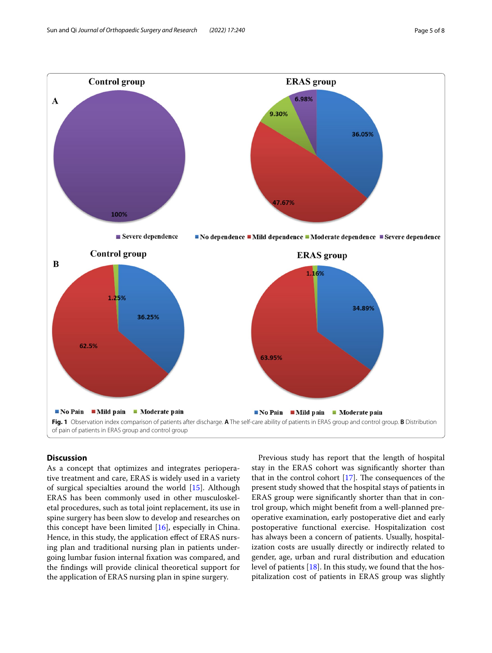

# <span id="page-4-0"></span>**Discussion**

As a concept that optimizes and integrates perioperative treatment and care, ERAS is widely used in a variety of surgical specialties around the world [\[15](#page-7-15)]. Although ERAS has been commonly used in other musculoskeletal procedures, such as total joint replacement, its use in spine surgery has been slow to develop and researches on this concept have been limited [[16\]](#page-7-16), especially in China. Hence, in this study, the application efect of ERAS nursing plan and traditional nursing plan in patients undergoing lumbar fusion internal fxation was compared, and the fndings will provide clinical theoretical support for the application of ERAS nursing plan in spine surgery.

Previous study has report that the length of hospital stay in the ERAS cohort was signifcantly shorter than that in the control cohort  $[17]$  $[17]$ . The consequences of the present study showed that the hospital stays of patients in ERAS group were signifcantly shorter than that in control group, which might beneft from a well-planned preoperative examination, early postoperative diet and early postoperative functional exercise. Hospitalization cost has always been a concern of patients. Usually, hospitalization costs are usually directly or indirectly related to gender, age, urban and rural distribution and education level of patients [\[18](#page-7-18)]. In this study, we found that the hospitalization cost of patients in ERAS group was slightly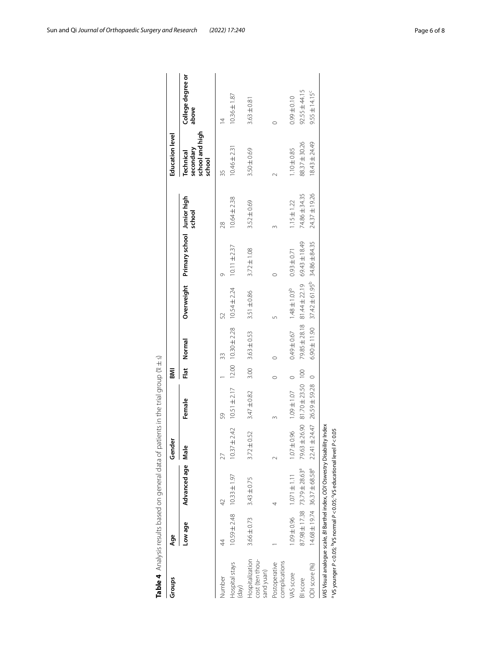| Groups                                           | Age                               |                                                  | Gender           |                                                                                                                                                                                                                               | М    |                          |                                            |                                       |                  | <b>Education level</b>                              |                            |
|--------------------------------------------------|-----------------------------------|--------------------------------------------------|------------------|-------------------------------------------------------------------------------------------------------------------------------------------------------------------------------------------------------------------------------|------|--------------------------|--------------------------------------------|---------------------------------------|------------------|-----------------------------------------------------|----------------------------|
|                                                  | Low age                           | Advanced age Male                                |                  | Female                                                                                                                                                                                                                        |      | Flat Normal              |                                            | Overweight Primary school Junior high | school           | school and high<br>secondary<br>Technical<br>school | College degree or<br>above |
| Number                                           | 4                                 |                                                  | 27               | 59                                                                                                                                                                                                                            |      | 33                       | 52                                         | σ                                     | $\frac{8}{2}$    | 35                                                  | $\overline{4}$             |
| Hospital stays<br>(day)                          | $10.59 \pm 2.48$ $10.33 \pm 1.97$ |                                                  | $10.37 \pm 2.42$ | $10.51 \pm 2.17$                                                                                                                                                                                                              |      | $12.00$ $10.30 \pm 2.28$ | $10.54 \pm 2.24$                           | $10.11 \pm 2.37$                      | $10.64 \pm 2.38$ | $10.46 \pm 2.31$                                    | $10.36 \pm 1.87$           |
| Hospitalization<br>cost (ten thou-<br>sand yuan) | $3.66 \pm 0.73$                   | $3.43 \pm 0.75$                                  | $3.72 \pm 0.52$  | 3.47±0.82                                                                                                                                                                                                                     | 3.00 | $3.63 \pm 0.53$          | $3.51 \pm 0.86$                            | $3.72 \pm 1.08$                       | 3.52±0.69        | 3.50±0.69                                           | $3.63 \pm 0.81$            |
| complications<br>Postoperative                   |                                   |                                                  |                  |                                                                                                                                                                                                                               |      |                          |                                            |                                       |                  |                                                     |                            |
| VAS score                                        |                                   | $1.09 \pm 0.96$ $1.071 \pm 1.11$                 |                  | $0$ 0.96 1.07 + 0.07 1.07 + 0.07 + 0.07 + 0.07 + 0.07 + 0.07 + 0.07 + 0.07 + 0.07 + 0.07 + 0.07 + 0.07 + 0.07 + 0.07 + 0.07 + 0.07 + 0.07 + 0.07 + 0.07 + 0.07 + 0.07 + 0.07 + 0.07 + 0.07 + 0.07 + 0.07 + 0.07 + 0.07 + 0.07 |      |                          | $-49 \pm 0.67$ 1.48 $\pm 1.03^{\circ}$     | $0.93 + 0.71$                         | $1.15 \pm 1.22$  | $1.10 \pm 0.85$                                     | $0.99 \pm 0.10$            |
| BI score                                         |                                   | $87.98 \pm 17.38$ $73.79 \pm 28.63$ <sup>a</sup> |                  | 79.63 ± 26.90 81.70 ± 23.50 100                                                                                                                                                                                               |      |                          | 79.85 ± 28.18 81.44 ± 22.19                | 69.43 ± 18.49                         | 74.86±34.35      | 88.37 ± 30.26                                       | $92.55 \pm 44.15$          |
| ODI score (%)                                    |                                   | $14.68 \pm 19.74$ 36.37 $\pm 68.58$ <sup>a</sup> |                  | 22.41 ± 24.47 26.59 ± 59.28 0                                                                                                                                                                                                 |      |                          | $6.90 \pm 11.90$ $37.42 \pm 61.95^{\circ}$ | 34.86 ± 84.35                         | 24.37 ± 19.26    | 18.43 ± 24.49                                       | $9.55 \pm 14.15^c$         |

<span id="page-5-0"></span>

| )<br>ļ<br>١<br>7                              |
|-----------------------------------------------|
| Ó                                             |
| ¢<br>ł                                        |
|                                               |
| į<br>i<br>j<br>i                              |
| Ï                                             |
| d<br>Ş<br>5<br>Ó<br>7                         |
| Ó<br>š<br>הממממה ממ<br>j<br>ׇ֚֚֬֡<br>J<br>1   |
|                                               |
| )<br>5<br>J<br>Ç<br>١<br>d<br>I               |
| í<br>$\ddot{ }$<br>j<br>j<br>Ç<br>ì<br>ا<br>ا |
| $\frac{1}{2}$                                 |
| I                                             |
| ₹<br>Φ                                        |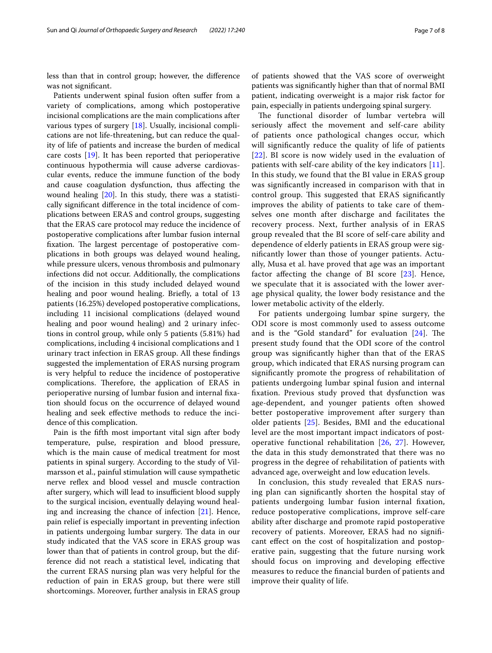less than that in control group; however, the diference was not signifcant.

Patients underwent spinal fusion often sufer from a variety of complications, among which postoperative incisional complications are the main complications after various types of surgery [[18\]](#page-7-18). Usually, incisional complications are not life-threatening, but can reduce the quality of life of patients and increase the burden of medical care costs [\[19](#page-7-19)]. It has been reported that perioperative continuous hypothermia will cause adverse cardiovascular events, reduce the immune function of the body and cause coagulation dysfunction, thus afecting the wound healing [\[20](#page-7-20)]. In this study, there was a statistically signifcant diference in the total incidence of complications between ERAS and control groups, suggesting that the ERAS care protocol may reduce the incidence of postoperative complications after lumbar fusion internal fixation. The largest percentage of postoperative complications in both groups was delayed wound healing, while pressure ulcers, venous thrombosis and pulmonary infections did not occur. Additionally, the complications of the incision in this study included delayed wound healing and poor wound healing. Briefy, a total of 13 patients (16.25%) developed postoperative complications, including 11 incisional complications (delayed wound healing and poor wound healing) and 2 urinary infections in control group, while only 5 patients (5.81%) had complications, including 4 incisional complications and 1 urinary tract infection in ERAS group. All these fndings suggested the implementation of ERAS nursing program is very helpful to reduce the incidence of postoperative complications. Therefore, the application of ERAS in perioperative nursing of lumbar fusion and internal fxation should focus on the occurrence of delayed wound healing and seek effective methods to reduce the incidence of this complication.

Pain is the ffth most important vital sign after body temperature, pulse, respiration and blood pressure, which is the main cause of medical treatment for most patients in spinal surgery. According to the study of Vilmarsson et al., painful stimulation will cause sympathetic nerve refex and blood vessel and muscle contraction after surgery, which will lead to insufficient blood supply to the surgical incision, eventually delaying wound healing and increasing the chance of infection [[21\]](#page-7-21). Hence, pain relief is especially important in preventing infection in patients undergoing lumbar surgery. The data in our study indicated that the VAS score in ERAS group was lower than that of patients in control group, but the difference did not reach a statistical level, indicating that the current ERAS nursing plan was very helpful for the reduction of pain in ERAS group, but there were still shortcomings. Moreover, further analysis in ERAS group

of patients showed that the VAS score of overweight patients was signifcantly higher than that of normal BMI patient, indicating overweight is a major risk factor for pain, especially in patients undergoing spinal surgery.

The functional disorder of lumbar vertebra will seriously afect the movement and self-care ability of patients once pathological changes occur, which will signifcantly reduce the quality of life of patients [[22](#page-7-22)]. BI score is now widely used in the evaluation of patients with self-care ability of the key indicators [[11](#page-7-11)]. In this study, we found that the BI value in ERAS group was signifcantly increased in comparison with that in control group. This suggested that ERAS significantly improves the ability of patients to take care of themselves one month after discharge and facilitates the recovery process. Next, further analysis of in ERAS group revealed that the BI score of self-care ability and dependence of elderly patients in ERAS group were signifcantly lower than those of younger patients. Actually, Musa et al. have proved that age was an important factor affecting the change of BI score [\[23\]](#page-7-23). Hence, we speculate that it is associated with the lower average physical quality, the lower body resistance and the lower metabolic activity of the elderly.

For patients undergoing lumbar spine surgery, the ODI score is most commonly used to assess outcome and is the "Gold standard" for evaluation  $[24]$  $[24]$  $[24]$ . The present study found that the ODI score of the control group was signifcantly higher than that of the ERAS group, which indicated that ERAS nursing program can signifcantly promote the progress of rehabilitation of patients undergoing lumbar spinal fusion and internal fxation. Previous study proved that dysfunction was age-dependent, and younger patients often showed better postoperative improvement after surgery than older patients [[25\]](#page-7-25). Besides, BMI and the educational level are the most important impact indicators of postoperative functional rehabilitation [\[26,](#page-7-26) [27\]](#page-7-27). However, the data in this study demonstrated that there was no progress in the degree of rehabilitation of patients with advanced age, overweight and low education levels.

In conclusion, this study revealed that ERAS nursing plan can signifcantly shorten the hospital stay of patients undergoing lumbar fusion internal fxation, reduce postoperative complications, improve self-care ability after discharge and promote rapid postoperative recovery of patients. Moreover, ERAS had no signifcant efect on the cost of hospitalization and postoperative pain, suggesting that the future nursing work should focus on improving and developing efective measures to reduce the fnancial burden of patients and improve their quality of life.